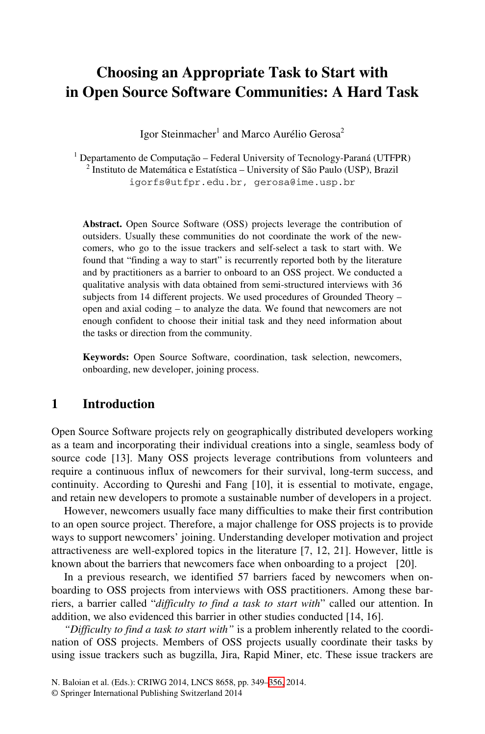# **Choosing an Appropriate Task to Start with in Open Source Software Communities: A Hard Task**

Igor Steinmacher $^1$  and Marco Aurélio Gerosa<sup>2</sup>

<sup>1</sup> Departamento de Computação – Federal University of Tecnology-Paraná (UTFPR)<br><sup>2</sup> Instituto de Matemática e Estatística - University of São Paulo (USP), Brazil <sup>2</sup> Instituto de Matemática e Estatística – University of São Paulo (USP), Brazil igorfs@utfpr.edu.br, gerosa@ime.usp.br

**Abstract.** Open Source Software (OSS) projects leverage the contribution of outsiders. Usually these communities do not coordinate the work of the newcomers, who go to the issue trackers and self-select a task to start with. We found that "finding a way to start" is recurrently reported both by the literature and by practitioners as a barrier to onboard to an OSS project. We conducted a qualitative analysis with data obtained from semi-structured interviews with 36 subjects from 14 different projects. We used procedures of Grounded Theory – open and axial coding – to analyze the data. We found that newcomers are not enough confident to choose their initial task and they need information about the tasks or direction from the community.

**Keywords:** Open Source Software, coordination, task selection, newcomers, onboarding, new developer, joining process.

## **1 Introduction**

Open Source Software projects rely on geographically distributed developers working as a team and incorporating their individual creations into a single, seamless body of source code [13]. Many OSS projects leverage contributions from volunteers and require a continuous influx of newcomers for their survival, long-term success, and continuity. According to Qureshi and Fang [10], it is essential to motivate, engage, and retain new developers to promote a sustainable number of developers in a project.

However, newcomers usually face many difficulties to make their first contribution to an open source project. Therefore, a major challenge for OSS projects is to provide ways to support newcomers' joining. Understanding developer motivation and project attractiveness are well-explored topics in the literature [7, 12, 21]. However, little is known about the barriers that newcomers face when onboarding to a project [20].

In a previous research, we identified 57 barriers faced by newcomers when onboarding to OSS projects from interviews with OSS practitioners. Among these barriers, a barrier called "*difficulty to find a task to start with*" called our attention. In addition, we also evidenced this barrier in other studies conducted [14, 16].

*"Difficulty to find a task to start with"* is a problem inherently related to the coordination of OSS projects. Members of OSS projects usually coordinate their tasks by using issue trackers such as bugzilla, Jira, Rapid Miner, etc. These issue trackers are

N. Baloian et al. (Eds.): CRIWG 2014, LNCS 8658, pp. 349–[356,](#page-7-0) 2014.

<sup>©</sup> Springer International Publishing Switzerland 2014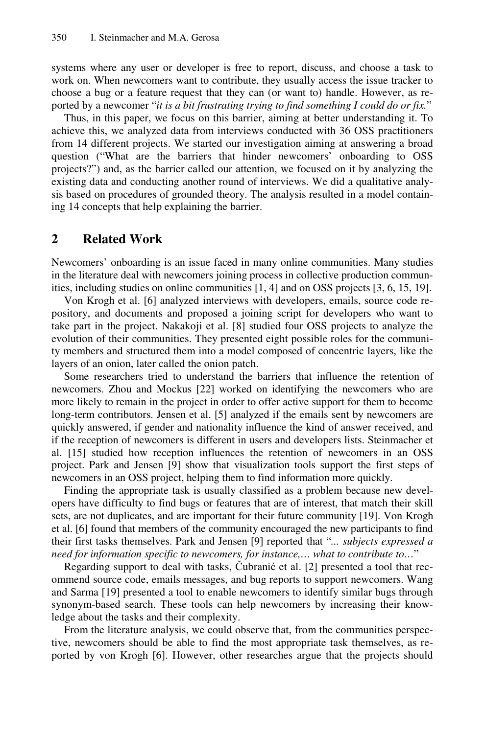systems where any user or developer is free to report, discuss, and choose a task to work on. When newcomers want to contribute, they usually access the issue tracker to choose a bug or a feature request that they can (or want to) handle. However, as reported by a newcomer "*it is a bit frustrating trying to find something I could do or fix.*"

Thus, in this paper, we focus on this barrier, aiming at better understanding it. To achieve this, we analyzed data from interviews conducted with 36 OSS practitioners from 14 different projects. We started our investigation aiming at answering a broad question ("What are the barriers that hinder newcomers' onboarding to OSS projects?") and, as the barrier called our attention, we focused on it by analyzing the existing data and conducting another round of interviews. We did a qualitative analysis based on procedures of grounded theory. The analysis resulted in a model containing 14 concepts that help explaining the barrier.

## **2 Related Work**

Newcomers' onboarding is an issue faced in many online communities. Many studies in the literature deal with newcomers joining process in collective production communities, including studies on online communities [1, 4] and on OSS projects [3, 6, 15, 19].

Von Krogh et al. [6] analyzed interviews with developers, emails, source code repository, and documents and proposed a joining script for developers who want to take part in the project. Nakakoji et al. [8] studied four OSS projects to analyze the evolution of their communities. They presented eight possible roles for the community members and structured them into a model composed of concentric layers, like the layers of an onion, later called the onion patch.

Some researchers tried to understand the barriers that influence the retention of newcomers. Zhou and Mockus [22] worked on identifying the newcomers who are more likely to remain in the project in order to offer active support for them to become long-term contributors. Jensen et al. [5] analyzed if the emails sent by newcomers are quickly answered, if gender and nationality influence the kind of answer received, and if the reception of newcomers is different in users and developers lists. Steinmacher et al. [15] studied how reception influences the retention of newcomers in an OSS project. Park and Jensen [9] show that visualization tools support the first steps of newcomers in an OSS project, helping them to find information more quickly.

Finding the appropriate task is usually classified as a problem because new developers have difficulty to find bugs or features that are of interest, that match their skill sets, are not duplicates, and are important for their future community [19]. Von Krogh et al. [6] found that members of the community encouraged the new participants to find their first tasks themselves. Park and Jensen [9] reported that "*... subjects expressed a need for information specific to newcomers, for instance,… what to contribute to…*"

Regarding support to deal with tasks,  $\ddot{C}$  ubranic et al. [2] presented a tool that recommend source code, emails messages, and bug reports to support newcomers. Wang and Sarma [19] presented a tool to enable newcomers to identify similar bugs through synonym-based search. These tools can help newcomers by increasing their knowledge about the tasks and their complexity.

From the literature analysis, we could observe that, from the communities perspective, newcomers should be able to find the most appropriate task themselves, as reported by von Krogh [6]. However, other researches argue that the projects should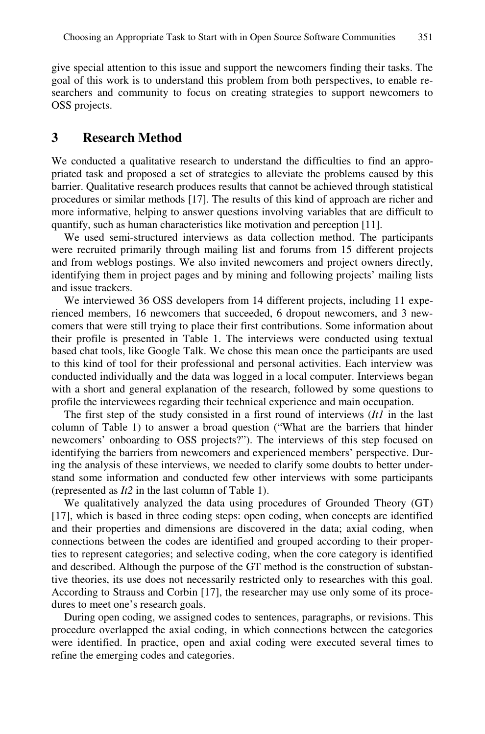give special attention to this issue and support the newcomers finding their tasks. The goal of this work is to understand this problem from both perspectives, to enable researchers and community to focus on creating strategies to support newcomers to OSS projects.

#### **3 Research Method**

We conducted a qualitative research to understand the difficulties to find an appropriated task and proposed a set of strategies to alleviate the problems caused by this barrier. Qualitative research produces results that cannot be achieved through statistical procedures or similar methods [17]. The results of this kind of approach are richer and more informative, helping to answer questions involving variables that are difficult to quantify, such as human characteristics like motivation and perception [11].

We used semi-structured interviews as data collection method. The participants were recruited primarily through mailing list and forums from 15 different projects and from weblogs postings. We also invited newcomers and project owners directly, identifying them in project pages and by mining and following projects' mailing lists and issue trackers.

We interviewed 36 OSS developers from 14 different projects, including 11 experienced members, 16 newcomers that succeeded, 6 dropout newcomers, and 3 newcomers that were still trying to place their first contributions. Some information about their profile is presented in Table 1. The interviews were conducted using textual based chat tools, like Google Talk. We chose this mean once the participants are used to this kind of tool for their professional and personal activities. Each interview was conducted individually and the data was logged in a local computer. Interviews began with a short and general explanation of the research, followed by some questions to profile the interviewees regarding their technical experience and main occupation.

The first step of the study consisted in a first round of interviews (*It1* in the last column of Table 1) to answer a broad question ("What are the barriers that hinder newcomers' onboarding to OSS projects?"). The interviews of this step focused on identifying the barriers from newcomers and experienced members' perspective. During the analysis of these interviews, we needed to clarify some doubts to better understand some information and conducted few other interviews with some participants (represented as *It2* in the last column of Table 1).

We qualitatively analyzed the data using procedures of Grounded Theory (GT) [17], which is based in three coding steps: open coding, when concepts are identified and their properties and dimensions are discovered in the data; axial coding, when connections between the codes are identified and grouped according to their properties to represent categories; and selective coding, when the core category is identified and described. Although the purpose of the GT method is the construction of substantive theories, its use does not necessarily restricted only to researches with this goal. According to Strauss and Corbin [17], the researcher may use only some of its procedures to meet one's research goals.

During open coding, we assigned codes to sentences, paragraphs, or revisions. This procedure overlapped the axial coding, in which connections between the categories were identified. In practice, open and axial coding were executed several times to refine the emerging codes and categories.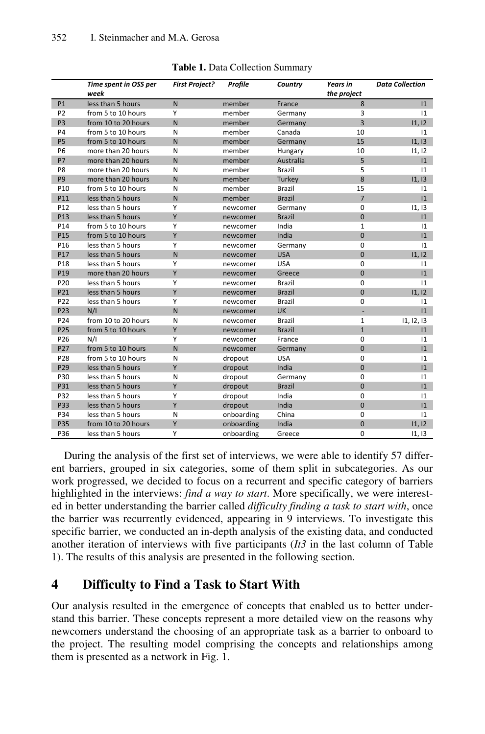|                 | Time spent in OSS per | <b>First Project?</b> | Profile    | Country       | Years in       | <b>Data Collection</b> |
|-----------------|-----------------------|-----------------------|------------|---------------|----------------|------------------------|
|                 | week                  |                       |            |               | the project    |                        |
| <b>P1</b>       | less than 5 hours     | N                     | member     | France        | 8              | 1                      |
| P <sub>2</sub>  | from 5 to 10 hours    | Υ                     | member     | Germany       | 3              | $\mathbf{11}$          |
| P <sub>3</sub>  | from 10 to 20 hours   | N                     | member     | Germany       | $\overline{3}$ | 11, 12                 |
| P <sub>4</sub>  | from 5 to 10 hours    | N                     | member     | Canada        | 10             | $\mathbf{11}$          |
| <b>P5</b>       | from 5 to 10 hours    | $\mathsf{N}$          | member     | Germany       | 15             | 11, 13                 |
| <b>P6</b>       | more than 20 hours    | N                     | member     | Hungary       | 10             | 11, 12                 |
| <b>P7</b>       | more than 20 hours    | $\mathsf{N}$          | member     | Australia     | 5              | 1                      |
| P <sub>8</sub>  | more than 20 hours    | N                     | member     | Brazil        | 5              | $\vert$ 1              |
| P <sub>9</sub>  | more than 20 hours    | $\mathsf{N}$          | member     | Turkey        | $\overline{8}$ | 11.13                  |
| P <sub>10</sub> | from 5 to 10 hours    | N                     | member     | Brazil        | 15             | $ 1\rangle$            |
| P11             | less than 5 hours     | N                     | member     | <b>Brazil</b> | $\overline{7}$ | 1                      |
| P12             | less than 5 hours     | Y                     | newcomer   | Germany       | $\Omega$       | 11, 13                 |
| P <sub>13</sub> | less than 5 hours     | Y                     | newcomer   | <b>Brazil</b> | $\Omega$       | 1                      |
| P14             | from 5 to 10 hours    | Y                     | newcomer   | India         | $\mathbf{1}$   | $\mathsf{I}1$          |
| P15             | from 5 to 10 hours    | Y                     | newcomer   | India         | $\mathbf{0}$   | 1                      |
| P16             | less than 5 hours     | Y                     | newcomer   | Germany       | 0              | $\mathbf{11}$          |
| P17             | less than 5 hours     | N                     | newcomer   | <b>USA</b>    | $\Omega$       | 11, 12                 |
| P18             | less than 5 hours     | Υ                     | newcomer   | <b>USA</b>    | 0              | $\mathbf{11}$          |
| P19             | more than 20 hours    | Y                     | newcomer   | Greece        | $\mathbf{0}$   | 1                      |
| P20             | less than 5 hours     | Υ                     | newcomer   | <b>Brazil</b> | 0              | $\mathbf{11}$          |
| P21             | less than 5 hours     | Y                     | newcomer   | <b>Brazil</b> | $\Omega$       | 11, 12                 |
| P22             | less than 5 hours     | Υ                     | newcomer   | <b>Brazil</b> | 0              | 1                      |
| P23             | N/I                   | N                     | newcomer   | <b>UK</b>     | L.             | 11                     |
| P24             | from 10 to 20 hours   | N                     | newcomer   | <b>Brazil</b> | $\mathbf{1}$   | 11, 12, 13             |
| P <sub>25</sub> | from 5 to 10 hours    | Y                     | newcomer   | <b>Brazil</b> | $\overline{1}$ | $\mathbf{11}$          |
| P26             | N/I                   | Y                     | newcomer   | France        | $\Omega$       | $\mathsf{I}1$          |
| P27             | from 5 to 10 hours    | $\mathsf{N}$          | newcomer   | Germany       | $\mathbf{0}$   | 1                      |
| P28             | from 5 to 10 hours    | N                     | dropout    | <b>USA</b>    | 0              | 1                      |
| P29             | less than 5 hours     | Y                     | dropout    | India         | $\Omega$       | 1                      |
| P30             | less than 5 hours     | N                     | dropout    | Germany       | 0              | 1                      |
| P31             | less than 5 hours     | Y                     | dropout    | <b>Brazil</b> | $\mathbf{0}$   | 1                      |
| P32             | less than 5 hours     | Y                     | dropout    | India         | 0              | 1                      |
| P33             | less than 5 hours     | Y                     | dropout    | India         | $\Omega$       | $ 1\rangle$            |
| P34             | less than 5 hours     | N                     | onboarding | China         | 0              | $\vert$ 1              |
| <b>P35</b>      | from 10 to 20 hours   | Y                     | onboarding | India         | $\mathbf{0}$   | 11.12                  |
| P36             | less than 5 hours     | Υ                     | onboarding | Greece        | $\Omega$       | 11, 13                 |

**Table 1.** Data Collection Summary

During the analysis of the first set of interviews, we were able to identify 57 different barriers, grouped in six categories, some of them split in subcategories. As our work progressed, we decided to focus on a recurrent and specific category of barriers highlighted in the interviews: *find a way to start*. More specifically, we were interested in better understanding the barrier called *difficulty finding a task to start with*, once the barrier was recurrently evidenced, appearing in 9 interviews. To investigate this specific barrier, we conducted an in-depth analysis of the existing data, and conducted another iteration of interviews with five participants (*It3* in the last column of Table 1). The results of this analysis are presented in the following section.

# **4 Difficulty to Find a Task to Start With**

Our analysis resulted in the emergence of concepts that enabled us to better understand this barrier. These concepts represent a more detailed view on the reasons why newcomers understand the choosing of an appropriate task as a barrier to onboard to the project. The resulting model comprising the concepts and relationships among them is presented as a network in Fig. 1.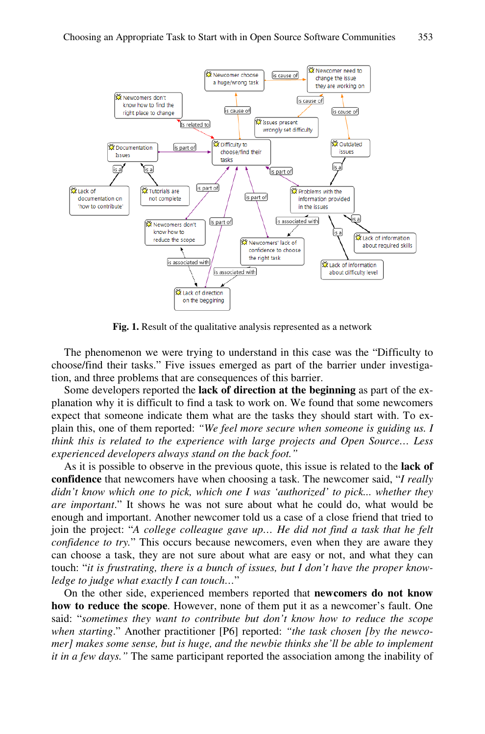

**Fig. 1.** Result of the qualitative analysis represented as a network

The phenomenon we were trying to understand in this case was the "Difficulty to choose/find their tasks." Five issues emerged as part of the barrier under investigation, and three problems that are consequences of this barrier.

Some developers reported the **lack of direction at the beginning** as part of the explanation why it is difficult to find a task to work on. We found that some newcomers expect that someone indicate them what are the tasks they should start with. To explain this, one of them reported: *"We feel more secure when someone is guiding us. I think this is related to the experience with large projects and Open Source… Less experienced developers always stand on the back foot."*

As it is possible to observe in the previous quote, this issue is related to the **lack of confidence** that newcomers have when choosing a task. The newcomer said, "*I really didn't know which one to pick, which one I was 'authorized' to pick... whether they are important*." It shows he was not sure about what he could do, what would be enough and important. Another newcomer told us a case of a close friend that tried to join the project: "*A college colleague gave up… He did not find a task that he felt confidence to try.*" This occurs because newcomers, even when they are aware they can choose a task, they are not sure about what are easy or not, and what they can touch: "*it is frustrating, there is a bunch of issues, but I don't have the proper knowledge to judge what exactly I can touch…*"

On the other side, experienced members reported that **newcomers do not know how to reduce the scope**. However, none of them put it as a newcomer's fault. One said: "*sometimes they want to contribute but don't know how to reduce the scope when starting*." Another practitioner [P6] reported: *"the task chosen [by the newcomer] makes some sense, but is huge, and the newbie thinks she'll be able to implement it in a few days."* The same participant reported the association among the inability of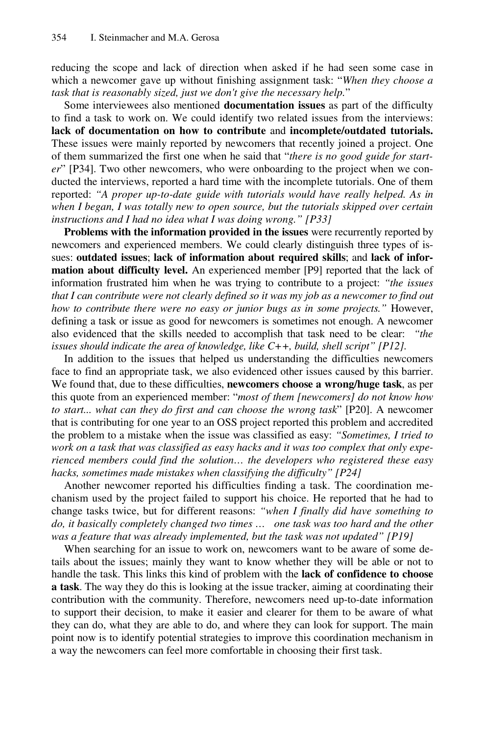reducing the scope and lack of direction when asked if he had seen some case in which a newcomer gave up without finishing assignment task: "*When they choose a task that is reasonably sized, just we don't give the necessary help.*"

Some interviewees also mentioned **documentation issues** as part of the difficulty to find a task to work on. We could identify two related issues from the interviews: **lack of documentation on how to contribute** and **incomplete/outdated tutorials.**  These issues were mainly reported by newcomers that recently joined a project. One of them summarized the first one when he said that "*there is no good guide for starter*" [P34]. Two other newcomers, who were onboarding to the project when we conducted the interviews, reported a hard time with the incomplete tutorials. One of them reported: *"A proper up-to-date guide with tutorials would have really helped. As in when I began, I was totally new to open source, but the tutorials skipped over certain instructions and I had no idea what I was doing wrong." [P33]*

**Problems with the information provided in the issues** were recurrently reported by newcomers and experienced members. We could clearly distinguish three types of issues: **outdated issues**; **lack of information about required skills**; and **lack of information about difficulty level.** An experienced member [P9] reported that the lack of information frustrated him when he was trying to contribute to a project: *"the issues that I can contribute were not clearly defined so it was my job as a newcomer to find out how to contribute there were no easy or junior bugs as in some projects."* However, defining a task or issue as good for newcomers is sometimes not enough. A newcomer also evidenced that the skills needed to accomplish that task need to be clear: *"the issues should indicate the area of knowledge, like C++, build, shell script" [P12].*

In addition to the issues that helped us understanding the difficulties newcomers face to find an appropriate task, we also evidenced other issues caused by this barrier. We found that, due to these difficulties, **newcomers choose a wrong/huge task**, as per this quote from an experienced member: "*most of them [newcomers] do not know how to start... what can they do first and can choose the wrong task*" [P20]. A newcomer that is contributing for one year to an OSS project reported this problem and accredited the problem to a mistake when the issue was classified as easy: *"Sometimes, I tried to work on a task that was classified as easy hacks and it was too complex that only experienced members could find the solution… the developers who registered these easy hacks, sometimes made mistakes when classifying the difficulty" [P24]*

Another newcomer reported his difficulties finding a task. The coordination mechanism used by the project failed to support his choice. He reported that he had to change tasks twice, but for different reasons: *"when I finally did have something to do, it basically completely changed two times … one task was too hard and the other was a feature that was already implemented, but the task was not updated" [P19]*

When searching for an issue to work on, newcomers want to be aware of some details about the issues; mainly they want to know whether they will be able or not to handle the task. This links this kind of problem with the **lack of confidence to choose a task**. The way they do this is looking at the issue tracker, aiming at coordinating their contribution with the community. Therefore, newcomers need up-to-date information to support their decision, to make it easier and clearer for them to be aware of what they can do, what they are able to do, and where they can look for support. The main point now is to identify potential strategies to improve this coordination mechanism in a way the newcomers can feel more comfortable in choosing their first task.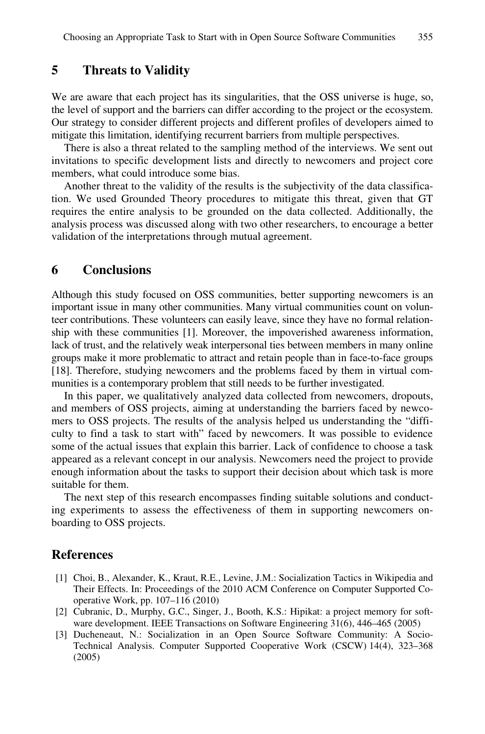# **5 Threats to Validity**

We are aware that each project has its singularities, that the OSS universe is huge, so, the level of support and the barriers can differ according to the project or the ecosystem. Our strategy to consider different projects and different profiles of developers aimed to mitigate this limitation, identifying recurrent barriers from multiple perspectives.

There is also a threat related to the sampling method of the interviews. We sent out invitations to specific development lists and directly to newcomers and project core members, what could introduce some bias.

Another threat to the validity of the results is the subjectivity of the data classification. We used Grounded Theory procedures to mitigate this threat, given that GT requires the entire analysis to be grounded on the data collected. Additionally, the analysis process was discussed along with two other researchers, to encourage a better validation of the interpretations through mutual agreement.

### **6 Conclusions**

Although this study focused on OSS communities, better supporting newcomers is an important issue in many other communities. Many virtual communities count on volunteer contributions. These volunteers can easily leave, since they have no formal relationship with these communities [1]. Moreover, the impoverished awareness information, lack of trust, and the relatively weak interpersonal ties between members in many online groups make it more problematic to attract and retain people than in face-to-face groups [18]. Therefore, studying newcomers and the problems faced by them in virtual communities is a contemporary problem that still needs to be further investigated.

In this paper, we qualitatively analyzed data collected from newcomers, dropouts, and members of OSS projects, aiming at understanding the barriers faced by newcomers to OSS projects. The results of the analysis helped us understanding the "difficulty to find a task to start with" faced by newcomers. It was possible to evidence some of the actual issues that explain this barrier. Lack of confidence to choose a task appeared as a relevant concept in our analysis. Newcomers need the project to provide enough information about the tasks to support their decision about which task is more suitable for them.

The next step of this research encompasses finding suitable solutions and conducting experiments to assess the effectiveness of them in supporting newcomers onboarding to OSS projects.

### **References**

- [1] Choi, B., Alexander, K., Kraut, R.E., Levine, J.M.: Socialization Tactics in Wikipedia and Their Effects. In: Proceedings of the 2010 ACM Conference on Computer Supported Cooperative Work, pp. 107–116 (2010)
- [2] Cubranic, D., Murphy, G.C., Singer, J., Booth, K.S.: Hipikat: a project memory for software development. IEEE Transactions on Software Engineering 31(6), 446–465 (2005)
- [3] Ducheneaut, N.: Socialization in an Open Source Software Community: A Socio-Technical Analysis. Computer Supported Cooperative Work (CSCW) 14(4), 323–368 (2005)